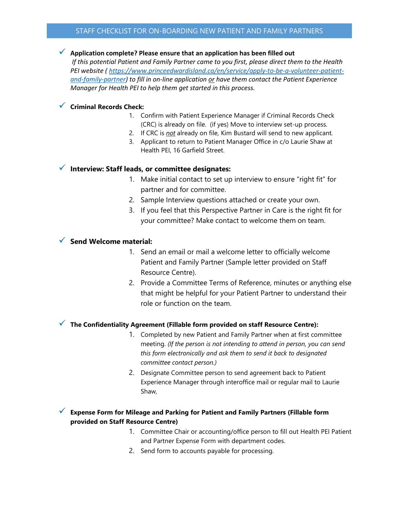### STAFF CHECKLIST FOR ON-BOARDING NEW PATIENT AND FAMILY PARTNERS

### **Application complete? Please ensure that an application has been filled out**

*If this potential Patient and Family Partner came to you first, please direct them to the Health PEI website ( [https://www.princeedwardisland.ca/en/service/apply-to-be-a-volunteer-patient](https://www.princeedwardisland.ca/en/service/apply-to-be-a-volunteer-patient-and-family-partner)[and-family-partner\)](https://www.princeedwardisland.ca/en/service/apply-to-be-a-volunteer-patient-and-family-partner) to fill in on-line application or have them contact the Patient Experience Manager for Health PEI to help them get started in this process.*

#### **Criminal Records Check:**

- 1. Confirm with Patient Experience Manager if Criminal Records Check (CRC) is already on file. (if yes) Move to interview set-up process.
- 2. If CRC is *not* already on file, Kim Bustard will send to new applicant*.*
- 3. Applicant to return to Patient Manager Office in c/o Laurie Shaw at Health PEI, 16 Garfield Street.

# **Interview: Staff leads, or committee designates:**

- 1. Make initial contact to set up interview to ensure "right fit" for partner and for committee.
- 2. Sample Interview questions attached or create your own.
- 3. If you feel that this Perspective Partner in Care is the right fit for your committee? Make contact to welcome them on team.

### **Send Welcome material:**

- 1. Send an email or mail a welcome letter to officially welcome Patient and Family Partner (Sample letter provided on Staff Resource Centre).
- 2. Provide a Committee Terms of Reference, minutes or anything else that might be helpful for your Patient Partner to understand their role or function on the team.

# **The Confidentiality Agreement (Fillable form provided on staff Resource Centre):**

- 1. Completed by new Patient and Family Partner when at first committee meeting. *(If the person is not intending to attend in person, you can send this form electronically and ask them to send it back to designated committee contact person.)*
- 2. Designate Committee person to send agreement back to Patient Experience Manager through interoffice mail or regular mail to Laurie Shaw,

# **Expense Form for Mileage and Parking for Patient and Family Partners (Fillable form provided on Staff Resource Centre)**

- 1. Committee Chair or accounting/office person to fill out Health PEI Patient and Partner Expense Form with department codes.
- 2. Send form to accounts payable for processing.